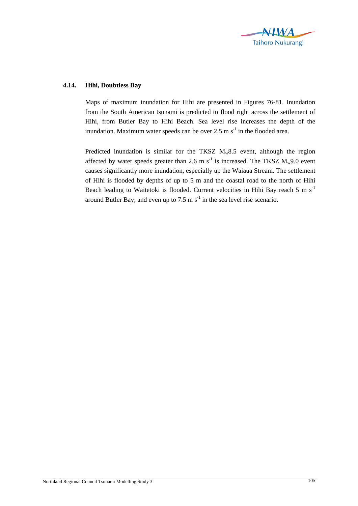

## **4.14. Hihi, Doubtless Bay**

Maps of maximum inundation for Hihi are presented in Figures 76-81. Inundation from the South American tsunami is predicted to flood right across the settlement of Hihi, from Butler Bay to Hihi Beach. Sea level rise increases the depth of the inundation. Maximum water speeds can be over  $2.5 \text{ m s}^{-1}$  in the flooded area.

Predicted inundation is similar for the TKSZ  $M_w 8.5$  event, although the region affected by water speeds greater than 2.6 m s<sup>-1</sup> is increased. The TKSZ  $M_w9.0$  event causes significantly more inundation, especially up the Waiaua Stream. The settlement of Hihi is flooded by depths of up to 5 m and the coastal road to the north of Hihi Beach leading to Waitetoki is flooded. Current velocities in Hihi Bay reach 5 m  $s^{-1}$ around Butler Bay, and even up to 7.5 m  $s^{-1}$  in the sea level rise scenario.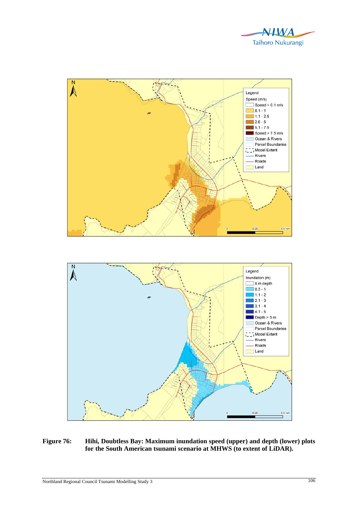



## **Figure 76: Hihi, Doubtless Bay: Maximum inundation speed (upper) and depth (lower) plots for the South American tsunami scenario at MHWS (to extent of LiDAR).**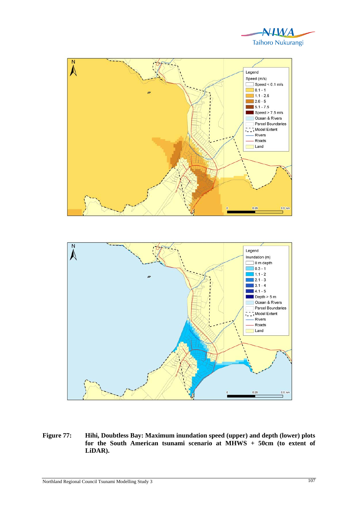





**Figure 77: Hihi, Doubtless Bay: Maximum inundation speed (upper) and depth (lower) plots for the South American tsunami scenario at MHWS + 50cm (to extent of LiDAR).**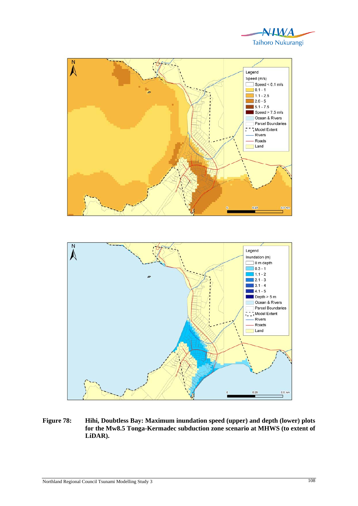





**Figure 78: Hihi, Doubtless Bay: Maximum inundation speed (upper) and depth (lower) plots for the Mw8.5 Tonga-Kermadec subduction zone scenario at MHWS (to extent of LiDAR).**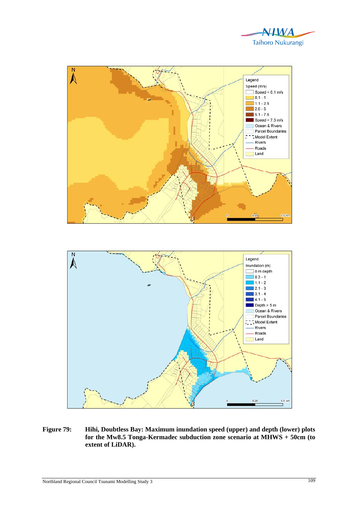



**Figure 79: Hihi, Doubtless Bay: Maximum inundation speed (upper) and depth (lower) plots for the Mw8.5 Tonga-Kermadec subduction zone scenario at MHWS + 50cm (to extent of LiDAR).**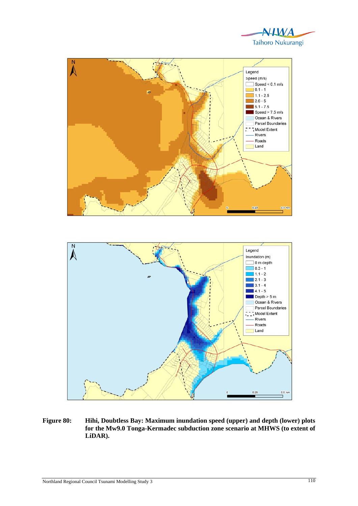





**Figure 80: Hihi, Doubtless Bay: Maximum inundation speed (upper) and depth (lower) plots for the Mw9.0 Tonga-Kermadec subduction zone scenario at MHWS (to extent of LiDAR).**